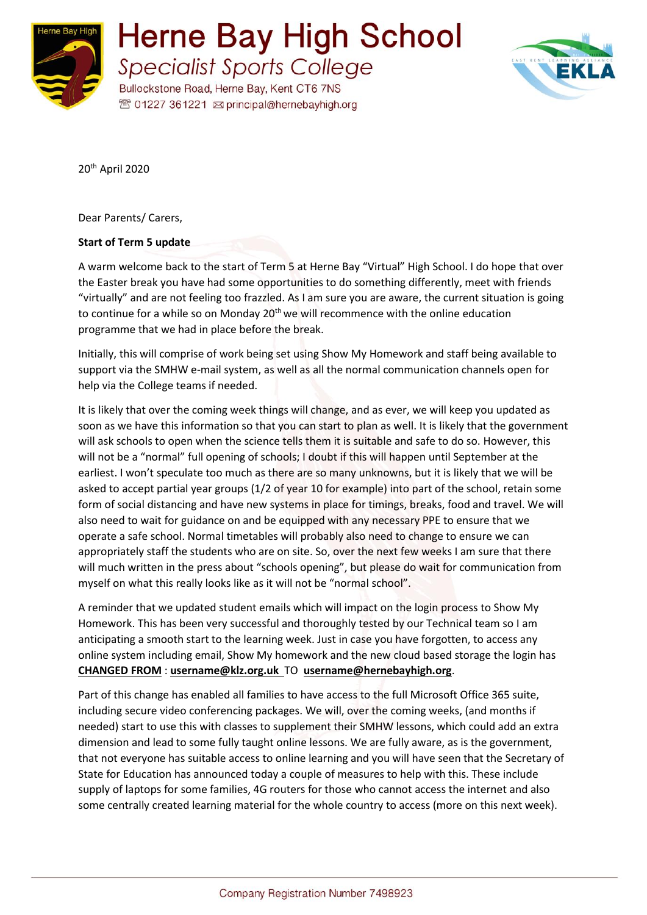

**Herne Bay High School Specialist Sports College** 

Bullockstone Road, Herne Bay, Kent CT6 7NS <sup>®</sup> 01227 361221 <br> principal@hernebayhigh.org



20th April 2020

Dear Parents/ Carers,

#### **Start of Term 5 update**

A warm welcome back to the start of Term 5 at Herne Bay "Virtual" High School. I do hope that over the Easter break you have had some opportunities to do something differently, meet with friends "virtually" and are not feeling too frazzled. As I am sure you are aware, the current situation is going to continue for a while so on Monday  $20<sup>th</sup>$  we will recommence with the online education programme that we had in place before the break.

Initially, this will comprise of work being set using Show My Homework and staff being available to support via the SMHW e-mail system, as well as all the normal communication channels open for help via the College teams if needed.

It is likely that over the coming week things will change, and as ever, we will keep you updated as soon as we have this information so that you can start to plan as well. It is likely that the government will ask schools to open when the science tells them it is suitable and safe to do so. However, this will not be a "normal" full opening of schools; I doubt if this will happen until September at the earliest. I won't speculate too much as there are so many unknowns, but it is likely that we will be asked to accept partial year groups (1/2 of year 10 for example) into part of the school, retain some form of social distancing and have new systems in place for timings, breaks, food and travel. We will also need to wait for guidance on and be equipped with any necessary PPE to ensure that we operate a safe school. Normal timetables will probably also need to change to ensure we can appropriately staff the students who are on site. So, over the next few weeks I am sure that there will much written in the press about "schools opening", but please do wait for communication from myself on what this really looks like as it will not be "normal school".

A reminder that we updated student emails which will impact on the login process to Show My Homework. This has been very successful and thoroughly tested by our Technical team so I am anticipating a smooth start to the learning week. Just in case you have forgotten, to access any online system including email, Show My homework and the new cloud based storage the login has **CHANGED FROM** : **username@klz.org.uk** TO **username@hernebayhigh.org**.

Part of this change has enabled all families to have access to the full Microsoft Office 365 suite, including secure video conferencing packages. We will, over the coming weeks, (and months if needed) start to use this with classes to supplement their SMHW lessons, which could add an extra dimension and lead to some fully taught online lessons. We are fully aware, as is the government, that not everyone has suitable access to online learning and you will have seen that the Secretary of State for Education has announced today a couple of measures to help with this. These include supply of laptops for some families, 4G routers for those who cannot access the internet and also some centrally created learning material for the whole country to access (more on this next week).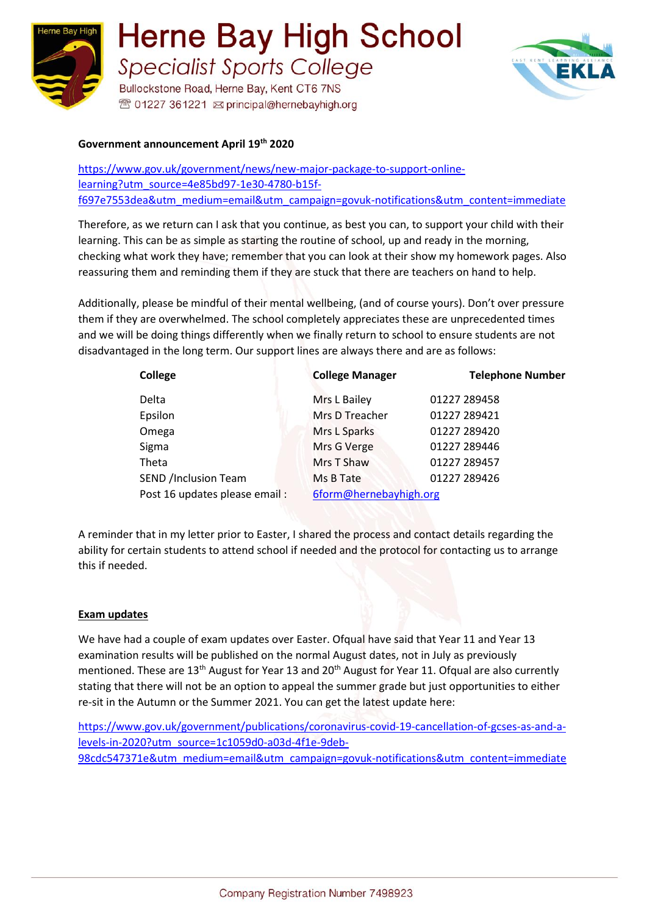

**Herne Bay High School Specialist Sports College** 

Bullockstone Road, Herne Bay, Kent CT6 7NS <sup>®</sup> 01227 361221 ⊠ principal@hernebayhigh.org



## **Government announcement April 19th 2020**

[https://www.gov.uk/government/news/new-major-package-to-support-online](https://www.gov.uk/government/news/new-major-package-to-support-online-learning?utm_source=4e85bd97-1e30-4780-b15f-f697e7553dea&utm_medium=email&utm_campaign=govuk-notifications&utm_content=immediate)[learning?utm\\_source=4e85bd97-1e30-4780-b15f](https://www.gov.uk/government/news/new-major-package-to-support-online-learning?utm_source=4e85bd97-1e30-4780-b15f-f697e7553dea&utm_medium=email&utm_campaign=govuk-notifications&utm_content=immediate)[f697e7553dea&utm\\_medium=email&utm\\_campaign=govuk-notifications&utm\\_content=immediate](https://www.gov.uk/government/news/new-major-package-to-support-online-learning?utm_source=4e85bd97-1e30-4780-b15f-f697e7553dea&utm_medium=email&utm_campaign=govuk-notifications&utm_content=immediate)

Therefore, as we return can I ask that you continue, as best you can, to support your child with their learning. This can be as simple as starting the routine of school, up and ready in the morning, checking what work they have; remember that you can look at their show my homework pages. Also reassuring them and reminding them if they are stuck that there are teachers on hand to help.

Additionally, please be mindful of their mental wellbeing, (and of course yours). Don't over pressure them if they are overwhelmed. The school completely appreciates these are unprecedented times and we will be doing things differently when we finally return to school to ensure students are not disadvantaged in the long term. Our support lines are always there and are as follows:

| College                       | <b>College Manager</b> | <b>Telephone Number</b> |
|-------------------------------|------------------------|-------------------------|
| Delta                         | Mrs L Bailey           | 01227 289458            |
| Epsilon                       | Mrs D Treacher         | 01227 289421            |
| Omega                         | Mrs L Sparks           | 01227 289420            |
| Sigma                         | Mrs G Verge            | 01227 289446            |
| Theta                         | Mrs T Shaw             | 01227 289457            |
| <b>SEND /Inclusion Team</b>   | Ms B Tate              | 01227 289426            |
| Post 16 updates please email: | 6form@hernebayhigh.org |                         |

A reminder that in my letter prior to Easter, I shared the process and contact details regarding the ability for certain students to attend school if needed and the protocol for contacting us to arrange this if needed.

#### **Exam updates**

We have had a couple of exam updates over Easter. Ofqual have said that Year 11 and Year 13 examination results will be published on the normal August dates, not in July as previously mentioned. These are 13<sup>th</sup> August for Year 13 and 20<sup>th</sup> August for Year 11. Ofqual are also currently stating that there will not be an option to appeal the summer grade but just opportunities to either re-sit in the Autumn or the Summer 2021. You can get the latest update here:

[https://www.gov.uk/government/publications/coronavirus-covid-19-cancellation-of-gcses-as-and-a](https://www.gov.uk/government/publications/coronavirus-covid-19-cancellation-of-gcses-as-and-a-levels-in-2020?utm_source=1c1059d0-a03d-4f1e-9deb-98cdc547371e&utm_medium=email&utm_campaign=govuk-notifications&utm_content=immediate)[levels-in-2020?utm\\_source=1c1059d0-a03d-4f1e-9deb-](https://www.gov.uk/government/publications/coronavirus-covid-19-cancellation-of-gcses-as-and-a-levels-in-2020?utm_source=1c1059d0-a03d-4f1e-9deb-98cdc547371e&utm_medium=email&utm_campaign=govuk-notifications&utm_content=immediate)[98cdc547371e&utm\\_medium=email&utm\\_campaign=govuk-notifications&utm\\_content=immediate](https://www.gov.uk/government/publications/coronavirus-covid-19-cancellation-of-gcses-as-and-a-levels-in-2020?utm_source=1c1059d0-a03d-4f1e-9deb-98cdc547371e&utm_medium=email&utm_campaign=govuk-notifications&utm_content=immediate)